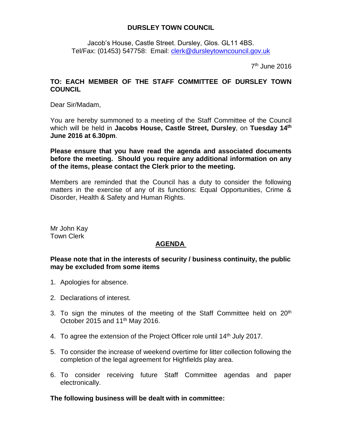## **DURSLEY TOWN COUNCIL**

Jacob's House, Castle Street. Dursley, Glos. GL11 4BS. Tel/Fax: (01453) 547758: Email: [clerk@dursleytowncouncil.gov.uk](mailto:clerk@dursleytowncouncil.gov.uk)

7<sup>th</sup> June 2016

## **TO: EACH MEMBER OF THE STAFF COMMITTEE OF DURSLEY TOWN COUNCIL**

Dear Sir/Madam,

You are hereby summoned to a meeting of the Staff Committee of the Council which will be held in **Jacobs House, Castle Street, Dursley**, on **Tuesday 14th June 2016 at 6.30pm**.

**Please ensure that you have read the agenda and associated documents before the meeting. Should you require any additional information on any of the items, please contact the Clerk prior to the meeting.**

Members are reminded that the Council has a duty to consider the following matters in the exercise of any of its functions: Equal Opportunities, Crime & Disorder, Health & Safety and Human Rights.

Mr John Kay Town Clerk

## **AGENDA**

## **Please note that in the interests of security / business continuity, the public may be excluded from some items**

- 1. Apologies for absence.
- 2. Declarations of interest.
- 3. To sign the minutes of the meeting of the Staff Committee held on  $20<sup>th</sup>$ October 2015 and 11<sup>th</sup> May 2016.
- 4. To agree the extension of the Project Officer role until 14<sup>th</sup> July 2017.
- 5. To consider the increase of weekend overtime for litter collection following the completion of the legal agreement for Highfields play area.
- 6. To consider receiving future Staff Committee agendas and paper electronically.

**The following business will be dealt with in committee:**